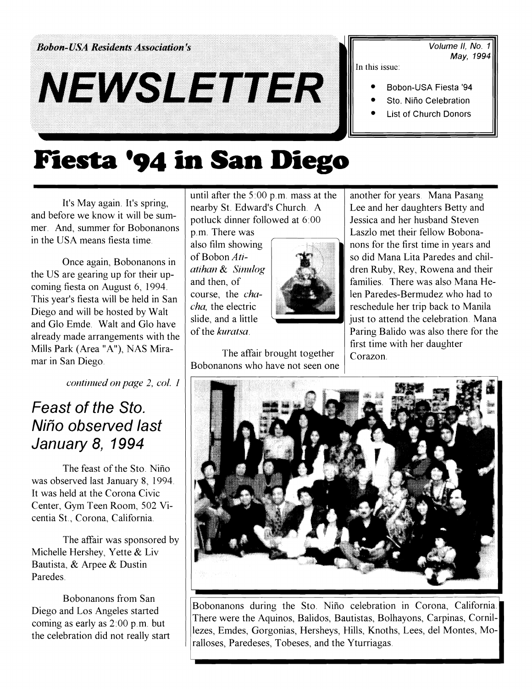**Bobon-USA Residents Association's** 

# NEWSLETTER

Volume II. No. 1 May. 1994

In this issue:

- Bobon-USA Fiesta '94
- Sto. Niño Celebration
- **List of Church Donors**

## **Fiesta '94 in San Diego**

It's May again. It's spring, and before we know it will be summer. And, summer for Bobonanons in the USA means fiesta time.

Once again, Bobonanons in the US are gearing up for their upcoming fiesta on August *6,* 1994. This year's fiesta will be held in San Diego and will be hosted by Walt and Glo Emde. Walt and Glo have already made arrangements with the Mills Park (Area "A"), NAS Miramar in San Diego.

continued on page 2, col. 1

### Feast of the Sto. Nifio observed last January 8, 1994

The feast of the Sto. Niño was observed last January 8, 1994 It was held at the Corona Civic Center, Gym Teen Room, *502* Vicentia St., Corona, California.

The affair was sponsored by Michelle Hershey, Yette & Liv Bautista, & Arpee & Dustin Paredes.

Bobonanons from San Diego and Los Angeles started coming as early as *2:00* p.m. but the celebration did not really start until after the *5:00* p.m. mass at the nearby St. Edward's Church. A potluck dinner followed at *6:00* 

p.m. There was also film showing of Bobon Atiatihan & Sinulog and then, of course, the *cha*cha, the electric slide, and a little of the kuratsa.



The affair brought together Bobonanons who have not seen one another for years. Mana Pasang Lee and her daughters Betty and Jessica and her husband Steven Laszlo met their fellow Bobonanons for the first time in years and so did Mana Lita Paredes and children Ruby, Rey, Rowena and their families. There was also Mana Helen Paredes-Bermudez who had to reschedule her trip back to Manila just to attend the celebration. Mana Paring Balido was also there for the first time with her daughter Corazon.



Bobonanons during the Sto. Niño celebration in Corona, California. There were the Aquinos, Balidos, Bautistas, Bolhayons, Carpinas, Cornillezes, Emdes, Gorgonias, Hersheys, Hills, Knoths, Lees, del Montes, Mo-There were the Aquinos, Balidos, Bautistas, Bolhayons, Carpinas, Cornillezes, Emdes, Gorgonias, Hersheys, Hills, Knoths, Lees, del Montes, Moralloses, Paredeses, Tobeses, and the Yturriagas.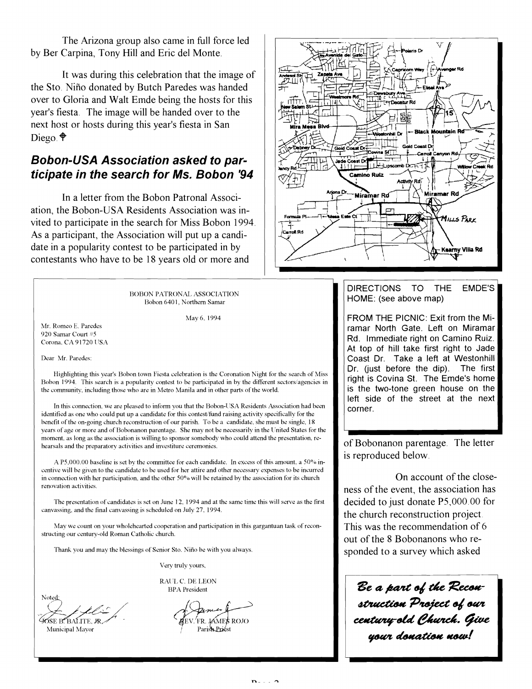The Arizona group also came in full force led by Ber Carpina, Tony Hill and Eric del Monte.

It was during this celebration that the image of the Sto. Niño donated by Butch Paredes was handed over to Gloria and Walt Emde being the hosts for this year's fiesta. The image will be handed over to the next host or hosts during this year's fiesta in San Diego **9** 

#### **Bobon-USA Association asked to participate in the search for Ms. Bobon '94**

In a letter from the Bobon Patronal Association, the Bobon-USA Residents Association was invited to participate in the search for Miss Bobon 1994. As a participant, the Association will put up a candidate in a popularity contest to be participated in by contestants who have to be 18 years old or more and

> BOBON PATRONAL ASSOCIATION Bobon 640 **1.** Northern Samar

> > May 6, 1994

Mr. Romeo E. Paredes 920 Samar Court #5 Corona, CA 91720 USA

Dear Mr. Paredes:

Highlighting this year's Bobon town Fiesta celebration is the Coronation Night for the search of Miss Bobon 1994. This search is a popularity contest to be participated in by the different sectors/agencies in the community, including those who are in Metro Manila and in other parts of the world.

In this connection, we are pleased to inform you that the Bobon-USA Residents Association had been identified as one who could put up a candidate for this contest/fund raising activity specifically for the henefit of the on-going church reconstruction of our parish. To he a candidate. she must be single, 18 years of age or more and of Bobonanon parentage. She may not be necessarily in the United States for the moment. as long as the association is willing to sponsor somebody who could attend the presentation. rehearsals and the preparatory activities and investiture ceremonies.

A P5,000.00 baseline is set by the committee for each candidate. In excess of this amount, a  $50\%$  incentive will be given to the candidate to be used for her attire and other necessary expenses to be incurred in connection with her participation, and the other 50% will be retained by the association for its church renovation activities.

The presentation of candidates is set on June 12, 1994 and at the same time this will serve as the first canvassing. and the final canvassing is scheduled on July 27. 1994.

May we count on your wholehearted cooperation and participation in this gargantuan task of reconstructing our century-old Roman Catholic church.

Thank you and may the blessings of Senior Sto. Nifio he with you always

Very truly yours,

RAUL C. DE LEON **BPA** President

**Camino Ruiz** Miramar Ro Miramar Ro Mills Park Kearny Villa Rd

DIRECTIONS TO THE EMDE'S HOME: (see above map)

FROM THE PICNIC: Exit from the Miramar North Gate. Left on Miramar Rd. Immediate right on Camino Ruiz. At top of hill take first right to Jade Coast Dr. Take a left at Westonhill Dr. (just before the dip). The first right is Covina St. The Emde's home is the two-tone green house on the left side of the street at the next corner.

of Bobonanon parentage. The letter is reproduced below.

On account of the closeness of the event, the association has decided to just donate P5,000.00 for the church reconstruction project This was the recommendation of 6 out of the 8 Bobonanons who responded to a survey which asked

Be a part of the Reconstruction Project of our<br>century old Church. Give<br>your donation now!

GOSE B. BALITE, JR Municipal Mayor

Noted

FR. JAMES ROJO Parish Priest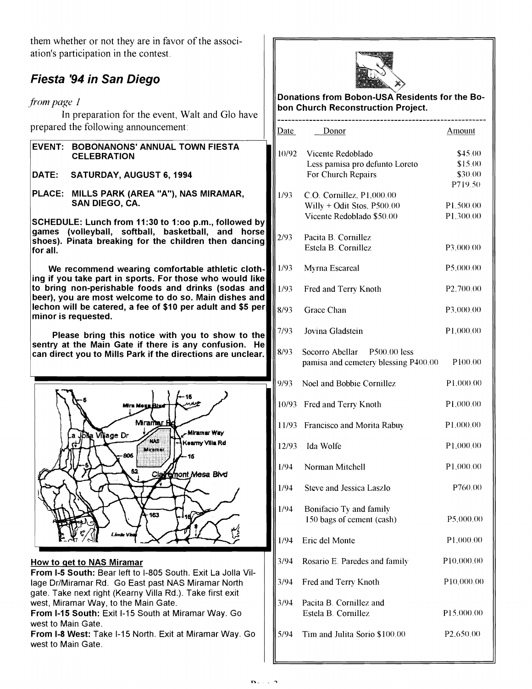them whether or not they are in favor of the association's participation in the contest

#### **Fiesta '94 in San Diego**

from *page* 1

In preparation for the event, Walt and Glo have prepared the following announcement:

| EVENT: BOBONANONS' ANNUAL TOWN FIESTA |
|---------------------------------------|
| <b>CELEBRATION</b>                    |

DATE: SATURDAY, AUGUST 6,1994

PLACE: MILLS PARK (AREA "A"), NAS MIRAMAR, SAN DIEGO, CA.

SCHEDULE: Lunch from 11:30 to 1:00 p.m., followed by games (volleyball, softball, basketball, and horse shoes). Pinata breaking for the children then dancing for all.

We recommend wearing comfortable athletic clothing if you take part in sports. For those who would like to bring non-perishable foods and drinks (sodas and beer), you are most welcome to do so. Main dishes and lechon will be catered, a fee of \$10 per adult and \$5 per minor is requested.

Please bring this notice with you to show to the sentry at the Main Gate if there is any confusion. He can direct you to Mills Park if the directions are unclear.



#### How to qet to NAS Miramar

From 1-5 South: Bear left to 1-805 South. Exit La Jolla Village Dr/Miramar Rd. Go East past NAS Miramar North gate. Take next right (Kearny Villa Rd.). Take first exit west, Miramar Way, to the Main Gate.

From 1-15 South: Exit 1-15 South at Miramar Way. Go west to Main Gate.

From 1-8 West: Take 1-15 North. Exit at Miramar Way. Go west to Main Gate.



| Donations from Bobon-USA Residents for the Bo-<br>bon Church Reconstruction Project. |                                                                                        |                                   |
|--------------------------------------------------------------------------------------|----------------------------------------------------------------------------------------|-----------------------------------|
| Date                                                                                 | Donor                                                                                  | Amount                            |
| 10/92                                                                                | Vicente Redoblado<br>Less pamisa pro defunto Loreto<br>For Church Repairs              | \$45.00<br>\$15.00<br>\$30.00     |
| 1/93                                                                                 | C.O. Cornillez, P1,000.00<br>Willy + Odit Stos, $P500.00$<br>Vicente Redoblado \$50.00 | P719.50<br>P1.500.00<br>P1.300.00 |
| 2/93                                                                                 | Pacita B. Cornillez<br>Estela B. Cornillez                                             | P3.000.00                         |
| 1/93                                                                                 | Myrna Escareal                                                                         | P5,000.00                         |
| 1/93                                                                                 | Fred and Terry Knoth                                                                   | P <sub>2.700.00</sub>             |
| 8/93                                                                                 | Grace Chan                                                                             | P3.000.00                         |
| 7/93                                                                                 | Jovina Gladstein                                                                       | P1,000.00                         |
| 8/93                                                                                 | Socorro Abellar P500.00 less<br>pamisa and cemetery blessing P400.00                   | P100.00                           |
| 9/93                                                                                 | Noel and Bobbie Cornillez                                                              | P1.000.00                         |
|                                                                                      | 10/93 Fred and Terry Knoth                                                             | P1,000.00                         |
| 11/93                                                                                | Francisco and Morita Rabuy                                                             | P1.000.00                         |
| 12/93                                                                                | Ida Wolfe                                                                              | P1,000.00                         |
| 1/94                                                                                 | Norman Mitchell                                                                        | P1.000.00                         |
| 1/94                                                                                 | <b>Steve and Jessica Laszlo</b>                                                        | P760.00                           |
| 1/94                                                                                 | Bonifacio Ty and family<br>150 bags of cement (cash)                                   | P5,000.00                         |
| 1/94                                                                                 | Eric del Monte                                                                         | P1,000.00                         |
| 3/94                                                                                 | Rosario E. Paredes and family                                                          | P10,000.00                        |
| 3/94                                                                                 | Fred and Terry Knoth                                                                   | P10,000.00                        |
| 3/94                                                                                 | Pacita B. Cornillez and<br>Estela B. Cornillez                                         | P15,000.00                        |
| 5/94                                                                                 | Tim and Julita Sorio \$100.00                                                          | P <sub>2.650.00</sub>             |